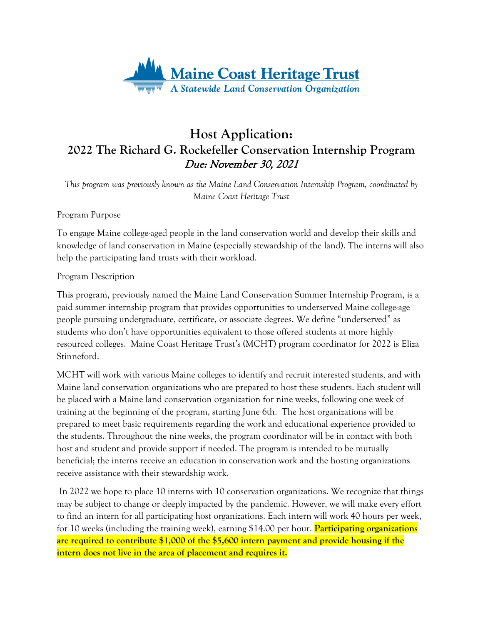

## **Host Application: 2022 The Richard G. Rockefeller Conservation Internship Program** Due: November 30, 2021

*This program was previously known as the Maine Land Conservation Internship Program, coordinated by Maine Coast Heritage Trust*

Program Purpose

To engage Maine college-aged people in the land conservation world and develop their skills and knowledge of land conservation in Maine (especially stewardship of the land). The interns will also help the participating land trusts with their workload.

Program Description

This program, previously named the Maine Land Conservation Summer Internship Program, is a paid summer internship program that provides opportunities to underserved Maine college-age people pursuing undergraduate, certificate, or associate degrees. We define "underserved" as students who don't have opportunities equivalent to those offered students at more highly resourced colleges. Maine Coast Heritage Trust's (MCHT) program coordinator for 2022 is Eliza Stinneford.

MCHT will work with various Maine colleges to identify and recruit interested students, and with Maine land conservation organizations who are prepared to host these students. Each student will be placed with a Maine land conservation organization for nine weeks, following one week of training at the beginning of the program, starting June 6th. The host organizations will be prepared to meet basic requirements regarding the work and educational experience provided to the students. Throughout the nine weeks, the program coordinator will be in contact with both host and student and provide support if needed. The program is intended to be mutually beneficial; the interns receive an education in conservation work and the hosting organizations receive assistance with their stewardship work.

In 2022 we hope to place 10 interns with 10 conservation organizations. We recognize that things may be subject to change or deeply impacted by the pandemic. However, we will make every effort to find an intern for all participating host organizations. Each intern will work 40 hours per week, for 10 weeks (including the training week), earning \$14.00 per hour. **Participating organizations are required to contribute \$1,000 of the \$5,600 intern payment and provide housing if the intern does not live in the area of placement and requires it.**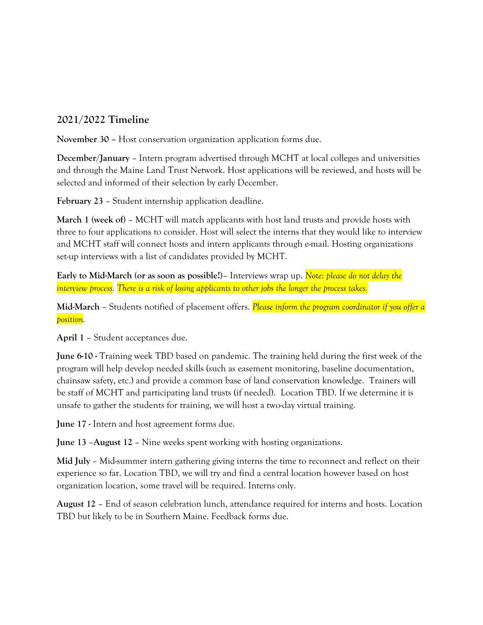## **2021/2022 Timeline**

**November 30 –** Host conservation organization application forms due.

**December/January** – Intern program advertised through MCHT at local colleges and universities and through the Maine Land Trust Network. Host applications will be reviewed, and hosts will be selected and informed of their selection by early December.

**February 23** – Student internship application deadline.

**March 1 (week of)** – MCHT will match applicants with host land trusts and provide hosts with three to four applications to consider. Host will select the interns that they would like to interview and MCHT staff will connect hosts and intern applicants through e-mail. Hosting organizations set-up interviews with a list of candidates provided by MCHT.

**Early to Mid-March (or as soon as possible!)**– Interviews wrap up. *Note: please do not delay the interview process. There is a risk of losing applicants to other jobs the longer the process takes.*

**Mid-March** – Students notified of placement offers. *Please inform the program coordinator if you offer a position.*

**April 1** – Student acceptances due.

**June 6-10 -** Training week TBD based on pandemic. The training held during the first week of the program will help develop needed skills (such as easement monitoring, baseline documentation, chainsaw safety, etc.) and provide a common base of land conservation knowledge. Trainers will be staff of MCHT and participating land trusts (if needed). Location TBD. If we determine it is unsafe to gather the students for training, we will host a two-day virtual training.

**June 17 -** Intern and host agreement forms due.

**June 13** –**August 12** – Nine weeks spent working with hosting organizations.

**Mid July** – Mid-summer intern gathering giving interns the time to reconnect and reflect on their experience so far. Location TBD, we will try and find a central location however based on host organization location, some travel will be required. Interns only.

**August 12** – End of season celebration lunch, attendance required for interns and hosts. Location TBD but likely to be in Southern Maine. Feedback forms due.